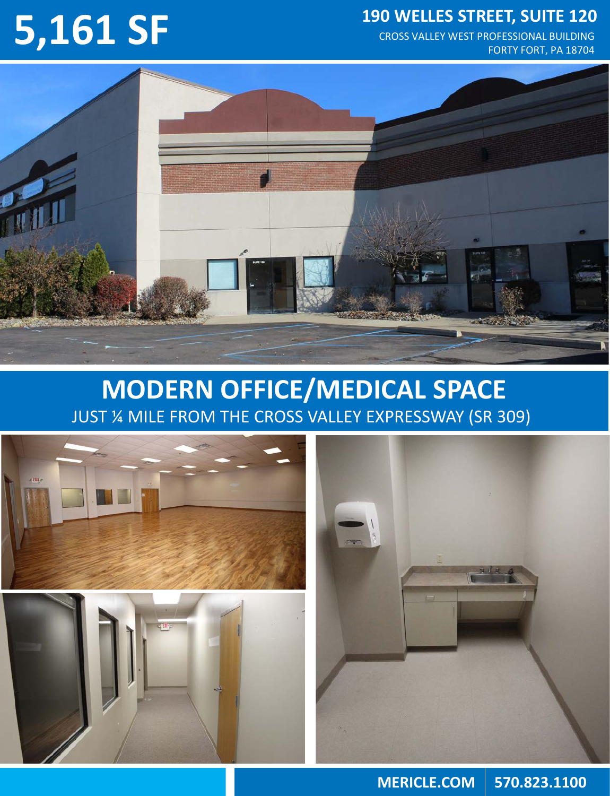CROSS VALLEY WEST PROFESSIONAL BUILDING FORTY FORT, PA 18704





## **MODERN OFFICE/MEDICAL SPACE** JUST ¼ MILE FROM THE CROSS VALLEY EXPRESSWAY (SR 309)





**MERICLE.COM 570.823.1100**